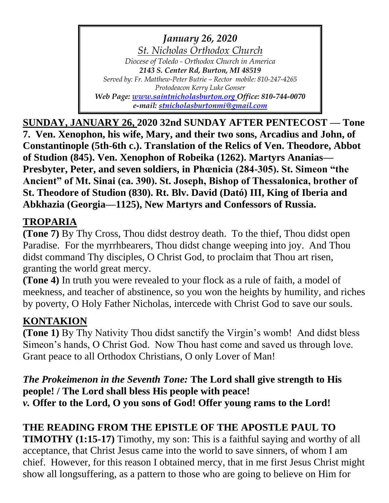*January 26, 2020 St. Nicholas Orthodox Church Diocese of Toledo - Orthodox Church in America 2143 S. Center Rd, Burton, MI 48519 Served by: Fr. Matthew-Peter Butrie – Rector mobile: 810-247-4265 Protodeacon Kerry Luke Gonser Web Page: [www.saintnicholasburton.org](http://www.saintnicholasburton.org/) Office: 810-744-0070 e-mail: [stnicholasburtonmi@gmail.com](mailto:stnicholasburtonmi@gmail.com)*

**SUNDAY, JANUARY 26, 2020 32nd SUNDAY AFTER PENTECOST — Tone 7. Ven. Xenophon, his wife, Mary, and their two sons, Arcadius and John, of Constantinople (5th-6th c.). Translation of the Relics of Ven. Theodore, Abbot of Studion (845). Ven. Xenophon of Robeika (1262). Martyrs Ananias— Presbyter, Peter, and seven soldiers, in Phœnicia (284-305). St. Simeon "the Ancient" of Mt. Sinai (ca. 390). St. Joseph, Bishop of Thessalonica, brother of St. Theodore of Studion (830). Rt. Blv. David (Dató) III, King of Iberia and Abkhazia (Georgia—1125), New Martyrs and Confessors of Russia.**

## **TROPARIA**

**(Tone 7)** By Thy Cross, Thou didst destroy death. To the thief, Thou didst open Paradise. For the myrrhbearers, Thou didst change weeping into joy. And Thou didst command Thy disciples, O Christ God, to proclaim that Thou art risen, granting the world great mercy.

**(Tone 4)** In truth you were revealed to your flock as a rule of faith, a model of meekness, and teacher of abstinence, so you won the heights by humility, and riches by poverty, O Holy Father Nicholas, intercede with Christ God to save our souls.

# **KONTAKION**

**(Tone 1)** By Thy Nativity Thou didst sanctify the Virgin's womb! And didst bless Simeon's hands, O Christ God. Now Thou hast come and saved us through love. Grant peace to all Orthodox Christians, O only Lover of Man!

*The Prokeimenon in the Seventh Tone:* **The Lord shall give strength to His people! / The Lord shall bless His people with peace!** *v.* **Offer to the Lord, O you sons of God! Offer young rams to the Lord!**

# **THE READING FROM THE EPISTLE OF THE APOSTLE PAUL TO**

**TIMOTHY (1:15-17)** Timothy, my son: This is a faithful saying and worthy of all acceptance, that Christ Jesus came into the world to save sinners, of whom I am chief. However, for this reason I obtained mercy, that in me first Jesus Christ might show all longsuffering, as a pattern to those who are going to believe on Him for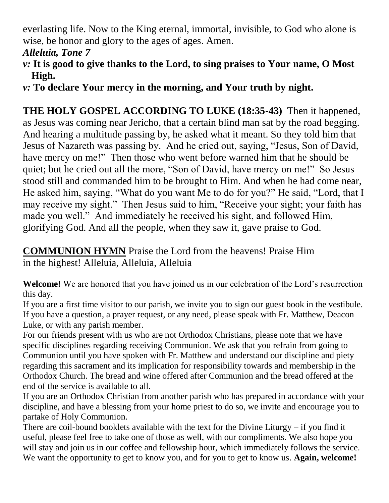everlasting life. Now to the King eternal, immortal, invisible, to God who alone is wise, be honor and glory to the ages of ages. Amen.

### *Alleluia, Tone 7*

- *v:* **It is good to give thanks to the Lord, to sing praises to Your name, O Most High.**
- *v:* **To declare Your mercy in the morning, and Your truth by night.**

**THE HOLY GOSPEL ACCORDING TO LUKE (18:35-43)** Then it happened, as Jesus was coming near Jericho, that a certain blind man sat by the road begging. And hearing a multitude passing by, he asked what it meant. So they told him that Jesus of Nazareth was passing by. And he cried out, saying, "Jesus, Son of David, have mercy on me!" Then those who went before warned him that he should be quiet; but he cried out all the more, "Son of David, have mercy on me!" So Jesus stood still and commanded him to be brought to Him. And when he had come near, He asked him, saying, "What do you want Me to do for you?" He said, "Lord, that I may receive my sight." Then Jesus said to him, "Receive your sight; your faith has made you well." And immediately he received his sight, and followed Him, glorifying God. And all the people, when they saw it, gave praise to God.

**COMMUNION HYMN** Praise the Lord from the heavens! Praise Him in the highest! Alleluia, Alleluia, Alleluia

**Welcome!** We are honored that you have joined us in our celebration of the Lord's resurrection this day.

If you are a first time visitor to our parish, we invite you to sign our guest book in the vestibule. If you have a question, a prayer request, or any need, please speak with Fr. Matthew, Deacon Luke, or with any parish member.

For our friends present with us who are not Orthodox Christians, please note that we have specific disciplines regarding receiving Communion. We ask that you refrain from going to Communion until you have spoken with Fr. Matthew and understand our discipline and piety regarding this sacrament and its implication for responsibility towards and membership in the Orthodox Church. The bread and wine offered after Communion and the bread offered at the end of the service is available to all.

If you are an Orthodox Christian from another parish who has prepared in accordance with your discipline, and have a blessing from your home priest to do so, we invite and encourage you to partake of Holy Communion.

There are coil-bound booklets available with the text for the Divine Liturgy – if you find it useful, please feel free to take one of those as well, with our compliments. We also hope you will stay and join us in our coffee and fellowship hour, which immediately follows the service. We want the opportunity to get to know you, and for you to get to know us. **Again, welcome!**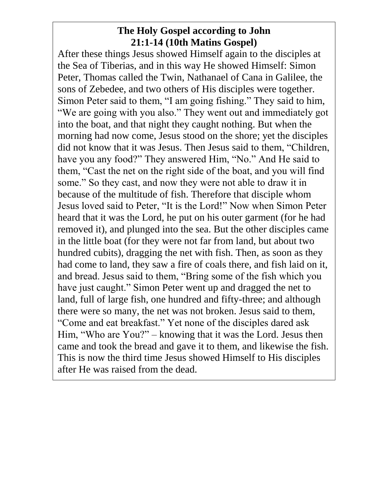### **The Holy Gospel according to John 21:1-14 (10th Matins Gospel)**

After these things Jesus showed Himself again to the disciples at the Sea of Tiberias, and in this way He showed Himself: Simon Peter, Thomas called the Twin, Nathanael of Cana in Galilee, the sons of Zebedee, and two others of His disciples were together. Simon Peter said to them, "I am going fishing." They said to him, "We are going with you also." They went out and immediately got into the boat, and that night they caught nothing. But when the morning had now come, Jesus stood on the shore; yet the disciples did not know that it was Jesus. Then Jesus said to them, "Children, have you any food?" They answered Him, "No." And He said to them, "Cast the net on the right side of the boat, and you will find some." So they cast, and now they were not able to draw it in because of the multitude of fish. Therefore that disciple whom Jesus loved said to Peter, "It is the Lord!" Now when Simon Peter heard that it was the Lord, he put on his outer garment (for he had removed it), and plunged into the sea. But the other disciples came in the little boat (for they were not far from land, but about two hundred cubits), dragging the net with fish. Then, as soon as they had come to land, they saw a fire of coals there, and fish laid on it, and bread. Jesus said to them, "Bring some of the fish which you have just caught." Simon Peter went up and dragged the net to land, full of large fish, one hundred and fifty-three; and although there were so many, the net was not broken. Jesus said to them, "Come and eat breakfast." Yet none of the disciples dared ask Him, "Who are You?" – knowing that it was the Lord. Jesus then came and took the bread and gave it to them, and likewise the fish. This is now the third time Jesus showed Himself to His disciples after He was raised from the dead.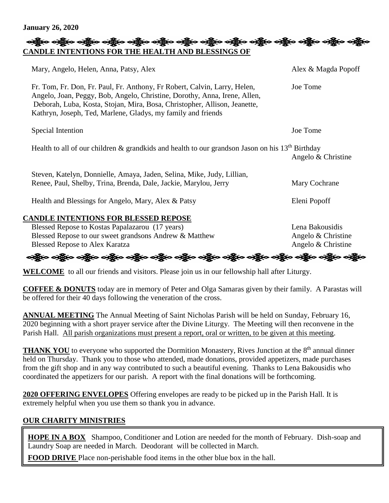**January 26, 2020**

#### လန္တြိုးေပါ့္ကိုးေပါ့္ကိုးေပါ့္ကိုးေပါ့္ကိုးေပါ့္ကိုးေပါ့္ကိုးေပါ့္ကိုးေပါ့္ကိုးေပါ့္ကိုးေပါ့္ကိုးေပါ့္ကိုးေပါ **CANDLE INTENTIONS FOR THE HEALTH AND BLESSINGS OF**

| Mary, Angelo, Helen, Anna, Patsy, Alex                                                                                                                                                                                                                                                              | Alex & Magda Popoff |
|-----------------------------------------------------------------------------------------------------------------------------------------------------------------------------------------------------------------------------------------------------------------------------------------------------|---------------------|
| Fr. Tom, Fr. Don, Fr. Paul, Fr. Anthony, Fr Robert, Calvin, Larry, Helen,<br>Angelo, Joan, Peggy, Bob, Angelo, Christine, Dorothy, Anna, Irene, Allen,<br>Deborah, Luba, Kosta, Stojan, Mira, Bosa, Christopher, Allison, Jeanette,<br>Kathryn, Joseph, Ted, Marlene, Gladys, my family and friends | Joe Tome            |
| Special Intention                                                                                                                                                                                                                                                                                   | Joe Tome            |
| Health to all of our children & grandkids and health to our grands on Jason on his $13th$ Birthday                                                                                                                                                                                                  | Angelo & Christine  |
| Steven, Katelyn, Donnielle, Amaya, Jaden, Selina, Mike, Judy, Lillian,                                                                                                                                                                                                                              |                     |
| Renee, Paul, Shelby, Trina, Brenda, Dale, Jackie, Marylou, Jerry                                                                                                                                                                                                                                    | Mary Cochrane       |
| Health and Blessings for Angelo, Mary, Alex & Patsy                                                                                                                                                                                                                                                 | Eleni Popoff        |
| <b>CANDLE INTENTIONS FOR BLESSED REPOSE</b>                                                                                                                                                                                                                                                         |                     |
| Blessed Repose to Kostas Papalazarou (17 years)                                                                                                                                                                                                                                                     | Lena Bakousidis     |
| Blessed Repose to our sweet grandsons Andrew & Matthew                                                                                                                                                                                                                                              | Angelo & Christine  |

Blessed Repose to Alex Karatza Angelo & Christine

### န္ကြားေနရွိပ္ေနရွိပ္ေနရွိပ္ေနရွိပ္ေနရွိပ္ေနရွိပ္ေနရွိပ္ေနရွိပ္ေနရွိပ္ေနရွိပ္ေနရွိပ္ေနရွိပ္ေနရွိပ္

**WELCOME** to all our friends and visitors. Please join us in our fellowship hall after Liturgy.

**COFFEE & DONUTS** today are in memory of Peter and Olga Samaras given by their family. A Parastas will be offered for their 40 days following the veneration of the cross.

**ANNUAL MEETING** The Annual Meeting of Saint Nicholas Parish will be held on Sunday, February 16, 2020 beginning with a short prayer service after the Divine Liturgy. The Meeting will then reconvene in the Parish Hall. All parish organizations must present a report, oral or written, to be given at this meeting.

THANK YOU to everyone who supported the Dormition Monastery, Rives Junction at the 8<sup>th</sup> annual dinner held on Thursday. Thank you to those who attended, made donations, provided appetizers, made purchases from the gift shop and in any way contributed to such a beautiful evening. Thanks to Lena Bakousidis who coordinated the appetizers for our parish. A report with the final donations will be forthcoming.

**2020 OFFERING ENVELOPES** Offering envelopes are ready to be picked up in the Parish Hall. It is extremely helpful when you use them so thank you in advance.

#### **OUR CHARITY MINISTRIES**

**HOPE IN A BOX** Shampoo, Conditioner and Lotion are needed for the month of February. Dish-soap and Laundry Soap are needed in March. Deodorant will be collected in March.

**FOOD DRIVE** Place non-perishable food items in the other blue box in the hall.